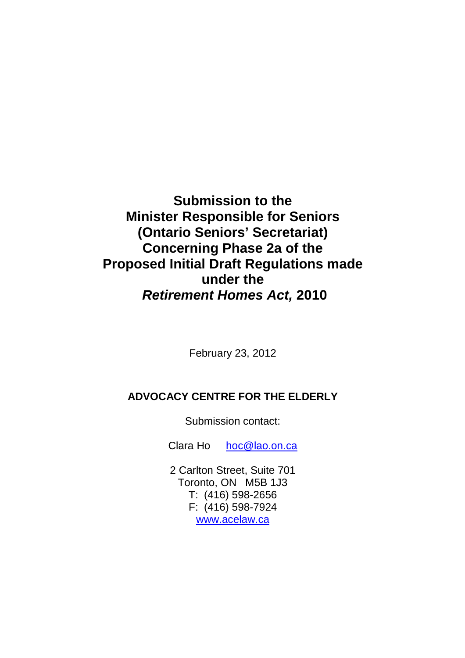**Submission to the Minister Responsible for Seniors (Ontario Seniors' Secretariat) Concerning Phase 2a of the Proposed Initial Draft Regulations made under the Retirement Homes Act, 2010**

February 23, 2012

# **ADVOCACY CENTRE FOR THE ELDERLY**

Submission contact:

Clara Ho hoc@lao.on.ca

2 Carlton Street, Suite 701 Toronto, ON M5B 1J3 T: (416) 598-2656 F: (416) 598-7924 www.acelaw.ca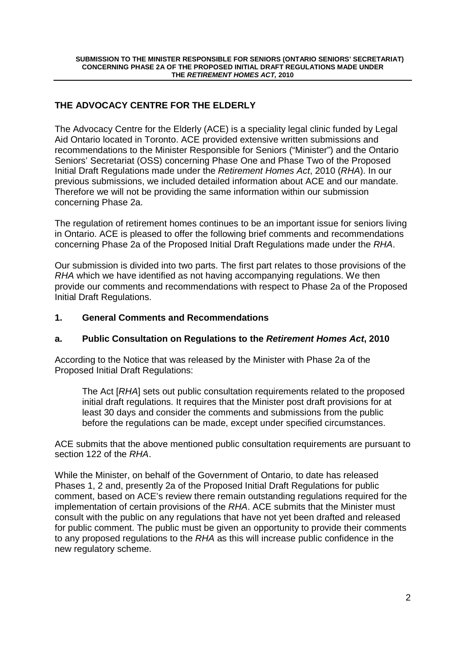## **THE ADVOCACY CENTRE FOR THE ELDERLY**

The Advocacy Centre for the Elderly (ACE) is a speciality legal clinic funded by Legal Aid Ontario located in Toronto. ACE provided extensive written submissions and recommendations to the Minister Responsible for Seniors ("Minister") and the Ontario Seniors' Secretariat (OSS) concerning Phase One and Phase Two of the Proposed Initial Draft Regulations made under the Retirement Homes Act, 2010 (RHA). In our previous submissions, we included detailed information about ACE and our mandate. Therefore we will not be providing the same information within our submission concerning Phase 2a.

The regulation of retirement homes continues to be an important issue for seniors living in Ontario. ACE is pleased to offer the following brief comments and recommendations concerning Phase 2a of the Proposed Initial Draft Regulations made under the RHA.

Our submission is divided into two parts. The first part relates to those provisions of the RHA which we have identified as not having accompanying regulations. We then provide our comments and recommendations with respect to Phase 2a of the Proposed Initial Draft Regulations.

## **1. General Comments and Recommendations**

### **a. Public Consultation on Regulations to the Retirement Homes Act, 2010**

According to the Notice that was released by the Minister with Phase 2a of the Proposed Initial Draft Regulations:

The Act [RHA] sets out public consultation requirements related to the proposed initial draft regulations. It requires that the Minister post draft provisions for at least 30 days and consider the comments and submissions from the public before the regulations can be made, except under specified circumstances.

ACE submits that the above mentioned public consultation requirements are pursuant to section 122 of the RHA.

While the Minister, on behalf of the Government of Ontario, to date has released Phases 1, 2 and, presently 2a of the Proposed Initial Draft Regulations for public comment, based on ACE's review there remain outstanding regulations required for the implementation of certain provisions of the RHA. ACE submits that the Minister must consult with the public on any regulations that have not yet been drafted and released for public comment. The public must be given an opportunity to provide their comments to any proposed regulations to the RHA as this will increase public confidence in the new regulatory scheme.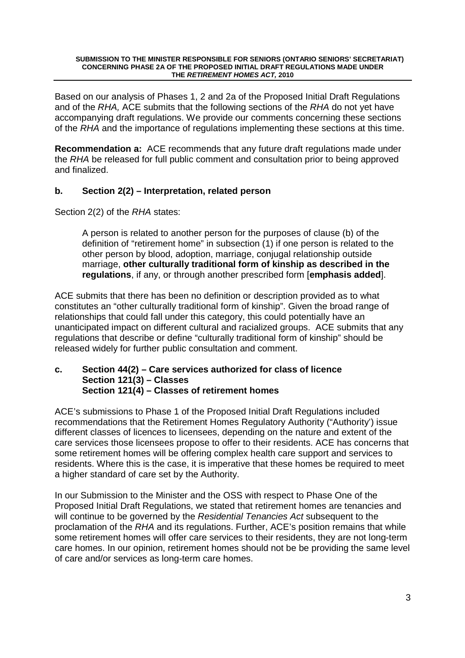Based on our analysis of Phases 1, 2 and 2a of the Proposed Initial Draft Regulations and of the RHA, ACE submits that the following sections of the RHA do not yet have accompanying draft regulations. We provide our comments concerning these sections of the RHA and the importance of regulations implementing these sections at this time.

**Recommendation a:** ACE recommends that any future draft regulations made under the RHA be released for full public comment and consultation prior to being approved and finalized.

### **b. Section 2(2) – Interpretation, related person**

Section 2(2) of the RHA states:

A person is related to another person for the purposes of clause (b) of the definition of "retirement home" in subsection (1) if one person is related to the other person by blood, adoption, marriage, conjugal relationship outside marriage, **other culturally traditional form of kinship as described in the regulations**, if any, or through another prescribed form [**emphasis added**].

ACE submits that there has been no definition or description provided as to what constitutes an "other culturally traditional form of kinship". Given the broad range of relationships that could fall under this category, this could potentially have an unanticipated impact on different cultural and racialized groups. ACE submits that any regulations that describe or define "culturally traditional form of kinship" should be released widely for further public consultation and comment.

### **c. Section 44(2) – Care services authorized for class of licence Section 121(3) – Classes Section 121(4) – Classes of retirement homes**

ACE's submissions to Phase 1 of the Proposed Initial Draft Regulations included recommendations that the Retirement Homes Regulatory Authority ("Authority') issue different classes of licences to licensees, depending on the nature and extent of the care services those licensees propose to offer to their residents. ACE has concerns that some retirement homes will be offering complex health care support and services to residents. Where this is the case, it is imperative that these homes be required to meet a higher standard of care set by the Authority.

In our Submission to the Minister and the OSS with respect to Phase One of the Proposed Initial Draft Regulations, we stated that retirement homes are tenancies and will continue to be governed by the Residential Tenancies Act subsequent to the proclamation of the RHA and its regulations. Further, ACE's position remains that while some retirement homes will offer care services to their residents, they are not long-term care homes. In our opinion, retirement homes should not be be providing the same level of care and/or services as long-term care homes.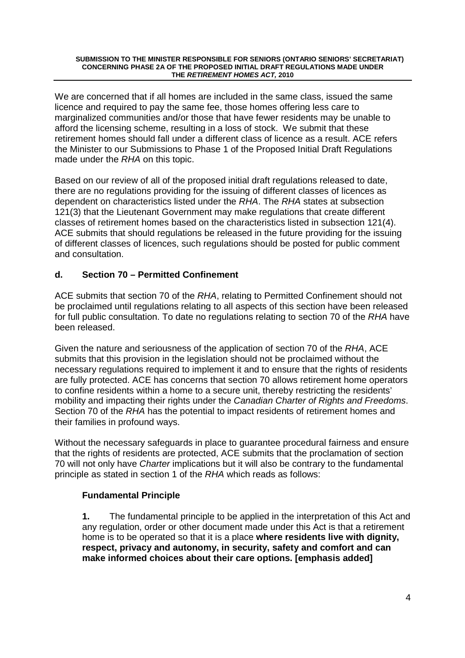We are concerned that if all homes are included in the same class, issued the same licence and required to pay the same fee, those homes offering less care to marginalized communities and/or those that have fewer residents may be unable to afford the licensing scheme, resulting in a loss of stock. We submit that these retirement homes should fall under a different class of licence as a result. ACE refers the Minister to our Submissions to Phase 1 of the Proposed Initial Draft Regulations made under the RHA on this topic.

Based on our review of all of the proposed initial draft regulations released to date, there are no regulations providing for the issuing of different classes of licences as dependent on characteristics listed under the RHA. The RHA states at subsection 121(3) that the Lieutenant Government may make regulations that create different classes of retirement homes based on the characteristics listed in subsection 121(4). ACE submits that should regulations be released in the future providing for the issuing of different classes of licences, such regulations should be posted for public comment and consultation.

## **d. Section 70 – Permitted Confinement**

ACE submits that section 70 of the RHA, relating to Permitted Confinement should not be proclaimed until regulations relating to all aspects of this section have been released for full public consultation. To date no regulations relating to section 70 of the RHA have been released.

Given the nature and seriousness of the application of section 70 of the RHA, ACE submits that this provision in the legislation should not be proclaimed without the necessary regulations required to implement it and to ensure that the rights of residents are fully protected. ACE has concerns that section 70 allows retirement home operators to confine residents within a home to a secure unit, thereby restricting the residents' mobility and impacting their rights under the Canadian Charter of Rights and Freedoms. Section 70 of the RHA has the potential to impact residents of retirement homes and their families in profound ways.

Without the necessary safeguards in place to guarantee procedural fairness and ensure that the rights of residents are protected, ACE submits that the proclamation of section 70 will not only have *Charter* implications but it will also be contrary to the fundamental principle as stated in section 1 of the RHA which reads as follows:

### **Fundamental Principle**

 **1.** The fundamental principle to be applied in the interpretation of this Act and any regulation, order or other document made under this Act is that a retirement home is to be operated so that it is a place **where residents live with dignity, respect, privacy and autonomy, in security, safety and comfort and can make informed choices about their care options. [emphasis added]**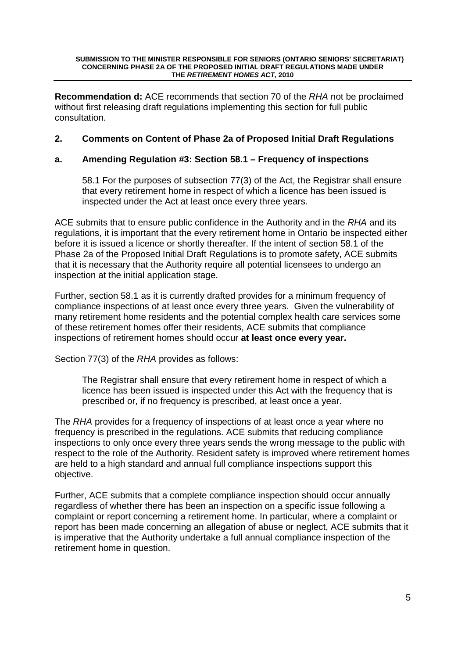**Recommendation d:** ACE recommends that section 70 of the RHA not be proclaimed without first releasing draft regulations implementing this section for full public consultation.

### **2. Comments on Content of Phase 2a of Proposed Initial Draft Regulations**

### **a. Amending Regulation #3: Section 58.1 – Frequency of inspections**

58.1 For the purposes of subsection 77(3) of the Act, the Registrar shall ensure that every retirement home in respect of which a licence has been issued is inspected under the Act at least once every three years.

ACE submits that to ensure public confidence in the Authority and in the RHA and its regulations, it is important that the every retirement home in Ontario be inspected either before it is issued a licence or shortly thereafter. If the intent of section 58.1 of the Phase 2a of the Proposed Initial Draft Regulations is to promote safety, ACE submits that it is necessary that the Authority require all potential licensees to undergo an inspection at the initial application stage.

Further, section 58.1 as it is currently drafted provides for a minimum frequency of compliance inspections of at least once every three years. Given the vulnerability of many retirement home residents and the potential complex health care services some of these retirement homes offer their residents, ACE submits that compliance inspections of retirement homes should occur **at least once every year.** 

Section 77(3) of the RHA provides as follows:

The Registrar shall ensure that every retirement home in respect of which a licence has been issued is inspected under this Act with the frequency that is prescribed or, if no frequency is prescribed, at least once a year.

The RHA provides for a frequency of inspections of at least once a year where no frequency is prescribed in the regulations. ACE submits that reducing compliance inspections to only once every three years sends the wrong message to the public with respect to the role of the Authority. Resident safety is improved where retirement homes are held to a high standard and annual full compliance inspections support this objective.

Further, ACE submits that a complete compliance inspection should occur annually regardless of whether there has been an inspection on a specific issue following a complaint or report concerning a retirement home. In particular, where a complaint or report has been made concerning an allegation of abuse or neglect, ACE submits that it is imperative that the Authority undertake a full annual compliance inspection of the retirement home in question.